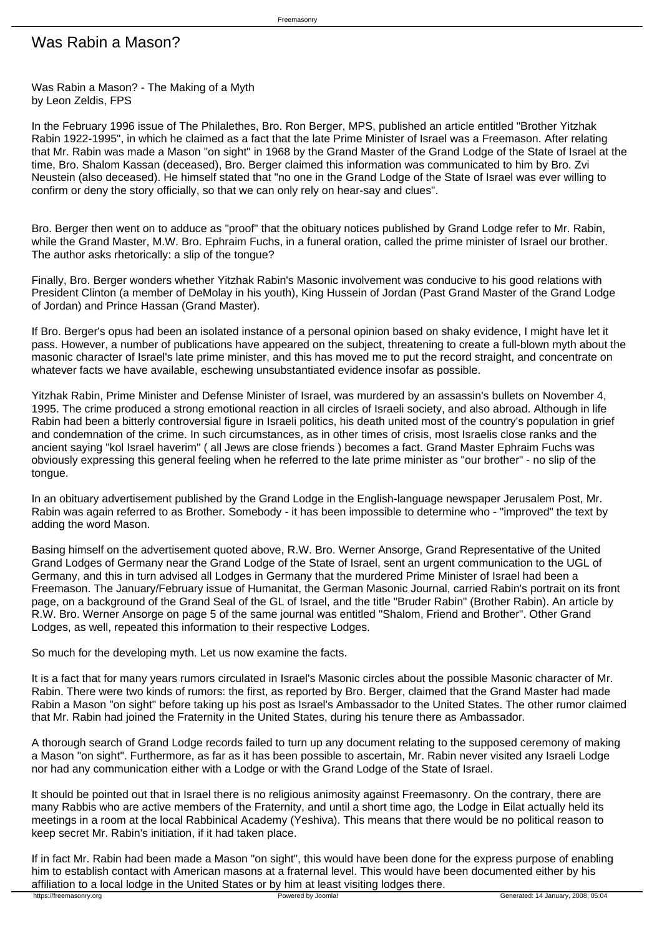## Was Rabin a Mason?

Was Rabin a Mason? - The Making of a Myth by Leon Zeldis, FPS

In the February 1996 issue of The Philalethes, Bro. Ron Berger, MPS, published an article entitled "Brother Yitzhak Rabin 1922-1995", in which he claimed as a fact that the late Prime Minister of Israel was a Freemason. After relating that Mr. Rabin was made a Mason "on sight" in 1968 by the Grand Master of the Grand Lodge of the State of Israel at the time, Bro. Shalom Kassan (deceased), Bro. Berger claimed this information was communicated to him by Bro. Zvi Neustein (also deceased). He himself stated that "no one in the Grand Lodge of the State of Israel was ever willing to confirm or deny the story officially, so that we can only rely on hear-say and clues".

Bro. Berger then went on to adduce as "proof" that the obituary notices published by Grand Lodge refer to Mr. Rabin, while the Grand Master, M.W. Bro. Ephraim Fuchs, in a funeral oration, called the prime minister of Israel our brother. The author asks rhetorically: a slip of the tongue?

Finally, Bro. Berger wonders whether Yitzhak Rabin's Masonic involvement was conducive to his good relations with President Clinton (a member of DeMolay in his youth), King Hussein of Jordan (Past Grand Master of the Grand Lodge of Jordan) and Prince Hassan (Grand Master).

If Bro. Berger's opus had been an isolated instance of a personal opinion based on shaky evidence, I might have let it pass. However, a number of publications have appeared on the subject, threatening to create a full-blown myth about the masonic character of Israel's late prime minister, and this has moved me to put the record straight, and concentrate on whatever facts we have available, eschewing unsubstantiated evidence insofar as possible.

Yitzhak Rabin, Prime Minister and Defense Minister of Israel, was murdered by an assassin's bullets on November 4, 1995. The crime produced a strong emotional reaction in all circles of Israeli society, and also abroad. Although in life Rabin had been a bitterly controversial figure in Israeli politics, his death united most of the country's population in grief and condemnation of the crime. In such circumstances, as in other times of crisis, most Israelis close ranks and the ancient saying "kol Israel haverim" ( all Jews are close friends ) becomes a fact. Grand Master Ephraim Fuchs was obviously expressing this general feeling when he referred to the late prime minister as "our brother" - no slip of the tongue.

In an obituary advertisement published by the Grand Lodge in the English-language newspaper Jerusalem Post, Mr. Rabin was again referred to as Brother. Somebody - it has been impossible to determine who - "improved" the text by adding the word Mason.

Basing himself on the advertisement quoted above, R.W. Bro. Werner Ansorge, Grand Representative of the United Grand Lodges of Germany near the Grand Lodge of the State of Israel, sent an urgent communication to the UGL of Germany, and this in turn advised all Lodges in Germany that the murdered Prime Minister of Israel had been a Freemason. The January/February issue of Humanitat, the German Masonic Journal, carried Rabin's portrait on its front page, on a background of the Grand Seal of the GL of Israel, and the title "Bruder Rabin" (Brother Rabin). An article by R.W. Bro. Werner Ansorge on page 5 of the same journal was entitled "Shalom, Friend and Brother". Other Grand Lodges, as well, repeated this information to their respective Lodges.

So much for the developing myth. Let us now examine the facts.

It is a fact that for many years rumors circulated in Israel's Masonic circles about the possible Masonic character of Mr. Rabin. There were two kinds of rumors: the first, as reported by Bro. Berger, claimed that the Grand Master had made Rabin a Mason "on sight" before taking up his post as Israel's Ambassador to the United States. The other rumor claimed that Mr. Rabin had joined the Fraternity in the United States, during his tenure there as Ambassador.

A thorough search of Grand Lodge records failed to turn up any document relating to the supposed ceremony of making a Mason "on sight". Furthermore, as far as it has been possible to ascertain, Mr. Rabin never visited any Israeli Lodge nor had any communication either with a Lodge or with the Grand Lodge of the State of Israel.

It should be pointed out that in Israel there is no religious animosity against Freemasonry. On the contrary, there are many Rabbis who are active members of the Fraternity, and until a short time ago, the Lodge in Eilat actually held its meetings in a room at the local Rabbinical Academy (Yeshiva). This means that there would be no political reason to keep secret Mr. Rabin's initiation, if it had taken place.

If in fact Mr. Rabin had been made a Mason "on sight", this would have been done for the express purpose of enabling him to establish contact with American masons at a fraternal level. This would have been documented either by his affiliation to a local lodge in the United States or by him at least visiting lodges there.<br>https://freemasonry.org<br>Powered by Joomla!